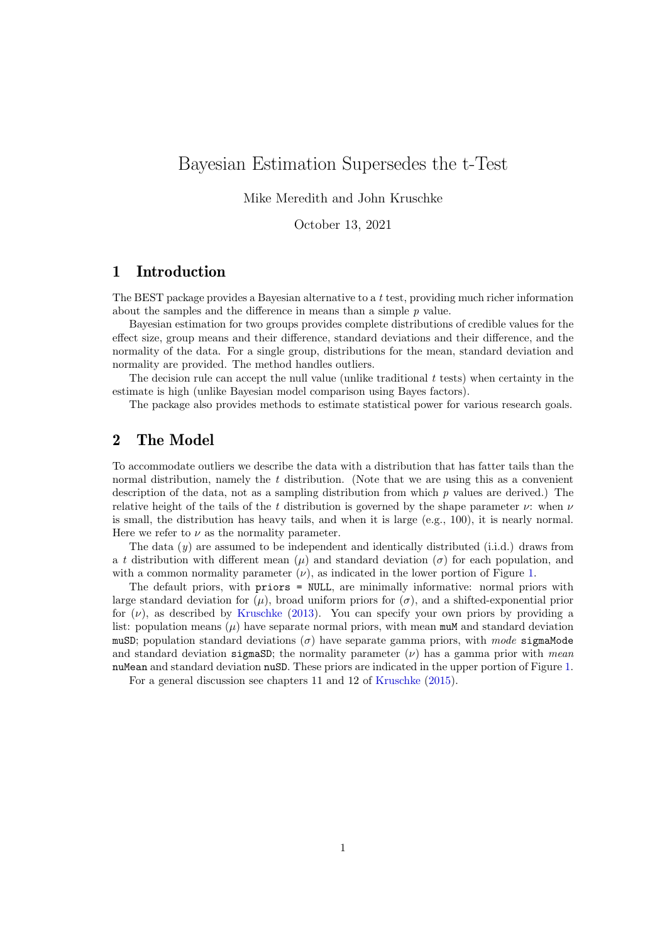# Bayesian Estimation Supersedes the t-Test

Mike Meredith and John Kruschke

October 13, 2021

## 1 Introduction

The BEST package provides a Bayesian alternative to a  $t$  test, providing much richer information about the samples and the difference in means than a simple  $p$  value.

Bayesian estimation for two groups provides complete distributions of credible values for the effect size, group means and their difference, standard deviations and their difference, and the normality of the data. For a single group, distributions for the mean, standard deviation and normality are provided. The method handles outliers.

The decision rule can accept the null value (unlike traditional  $t$  tests) when certainty in the estimate is high (unlike Bayesian model comparison using Bayes factors).

The package also provides methods to estimate statistical power for various research goals.

# 2 The Model

To accommodate outliers we describe the data with a distribution that has fatter tails than the normal distribution, namely the t distribution. (Note that we are using this as a convenient description of the data, not as a sampling distribution from which  $p$  values are derived.) The relative height of the tails of the t distribution is governed by the shape parameter  $\nu$ : when  $\nu$ is small, the distribution has heavy tails, and when it is large (e.g., 100), it is nearly normal. Here we refer to  $\nu$  as the normality parameter.

The data  $(y)$  are assumed to be independent and identically distributed (i.i.d.) draws from a t distribution with different mean  $(\mu)$  and standard deviation ( $\sigma$ ) for each population, and with a common normality parameter  $(\nu)$ , as indicated in the lower portion of Figure [1.](#page-1-0)

The default priors, with priors = NULL, are minimally informative: normal priors with large standard deviation for  $(\mu)$ , broad uniform priors for  $(\sigma)$ , and a shifted-exponential prior for  $(\nu)$ , as described by [Kruschke](#page-12-0) [\(2013\)](#page-12-0). You can specify your own priors by providing a list: population means  $(\mu)$  have separate normal priors, with mean muM and standard deviation muSD; population standard deviations ( $\sigma$ ) have separate gamma priors, with mode sigmaMode and standard deviation sigmaSD; the normality parameter  $(\nu)$  has a gamma prior with mean nuMean and standard deviation nuSD. These priors are indicated in the upper portion of Figure [1.](#page-1-0)

For a general discussion see chapters 11 and 12 of [Kruschke](#page-12-1) [\(2015\)](#page-12-1).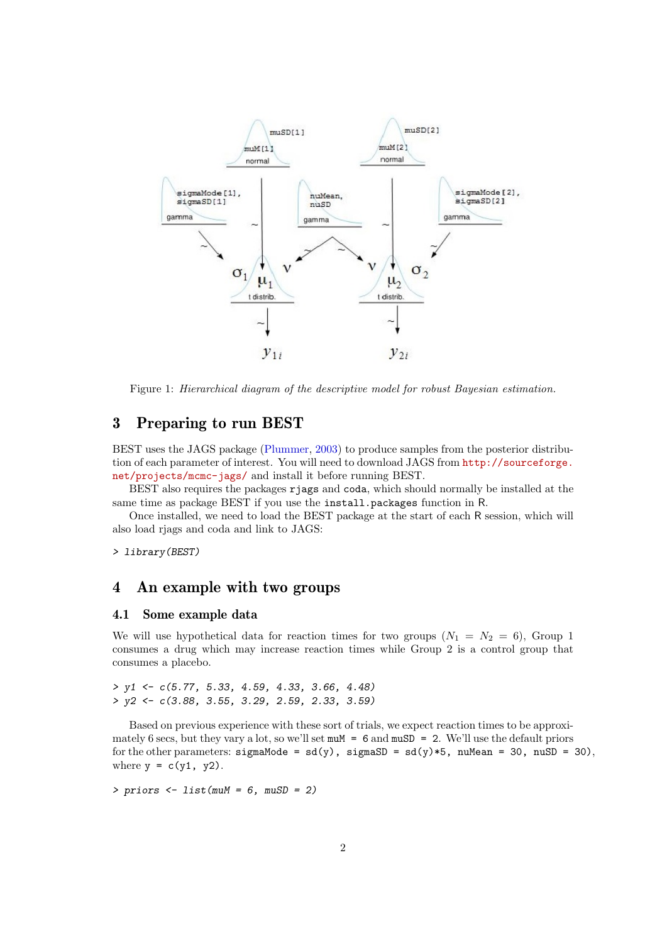

<span id="page-1-0"></span>Figure 1: Hierarchical diagram of the descriptive model for robust Bayesian estimation.

### 3 Preparing to run BEST

BEST uses the JAGS package [\(Plummer,](#page-12-2) [2003\)](#page-12-2) to produce samples from the posterior distribution of each parameter of interest. You will need to download JAGS from [http://sourceforge.](http://sourceforge.net/projects/mcmc-jags/) [net/projects/mcmc-jags/](http://sourceforge.net/projects/mcmc-jags/) and install it before running BEST.

BEST also requires the packages rjags and coda, which should normally be installed at the same time as package BEST if you use the install.packages function in R.

Once installed, we need to load the BEST package at the start of each R session, which will also load rjags and coda and link to JAGS:

> library(BEST)

### 4 An example with two groups

#### 4.1 Some example data

We will use hypothetical data for reaction times for two groups  $(N_1 = N_2 = 6)$ , Group 1 consumes a drug which may increase reaction times while Group 2 is a control group that consumes a placebo.

> y1 <- c(5.77, 5.33, 4.59, 4.33, 3.66, 4.48) > y2 <- c(3.88, 3.55, 3.29, 2.59, 2.33, 3.59)

Based on previous experience with these sort of trials, we expect reaction times to be approximately 6 secs, but they vary a lot, so we'll set  $m \times 6$  and  $m \times D = 2$ . We'll use the default priors for the other parameters:  $sigmaMode = sd(y)$ ,  $sigmaSD = sd(y)*5$ ,  $numlean = 30$ ,  $nuSD = 30$ , where  $y = c(y1, y2)$ .

 $> priors < - list(muM = 6, muSD = 2)$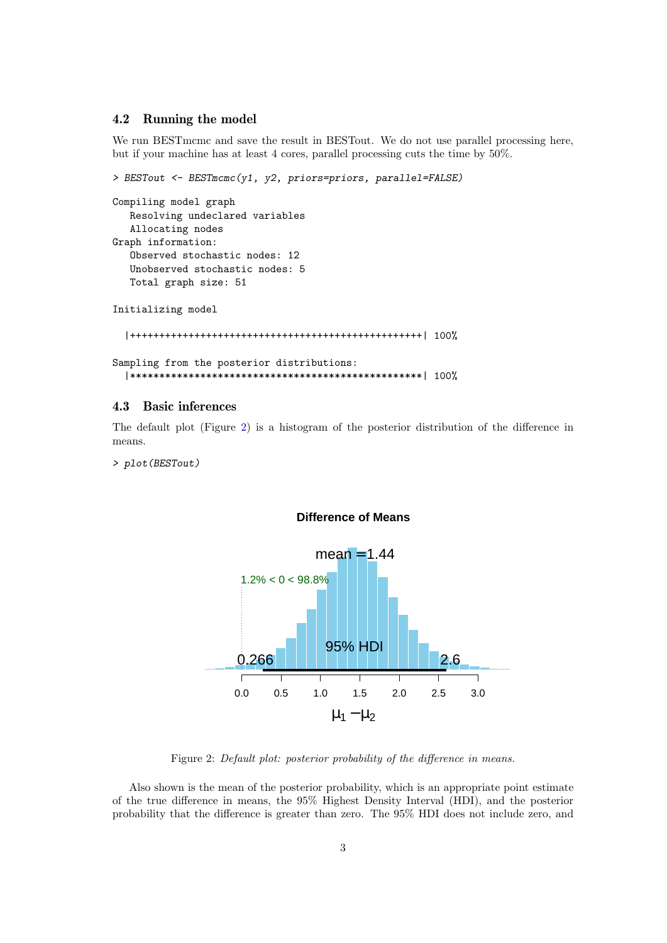### 4.2 Running the model

We run BESTmcmc and save the result in BESTout. We do not use parallel processing here, but if your machine has at least 4 cores, parallel processing cuts the time by 50%.

```
> BESTout <- BESTmcmc(y1, y2, priors=priors, parallel=FALSE)
Compiling model graph
   Resolving undeclared variables
   Allocating nodes
Graph information:
   Observed stochastic nodes: 12
   Unobserved stochastic nodes: 5
   Total graph size: 51
Initializing model
  |++++++++++++++++++++++++++++++++++++++++++++++++++| 100%
Sampling from the posterior distributions:
  |**************************************************| 100%
```
### 4.3 Basic inferences

The default plot (Figure [2\)](#page-2-0) is a histogram of the posterior distribution of the difference in means.

> plot(BESTout)



#### <span id="page-2-0"></span>**Difference of Means**

Figure 2: Default plot: posterior probability of the difference in means.

Also shown is the mean of the posterior probability, which is an appropriate point estimate of the true difference in means, the 95% Highest Density Interval (HDI), and the posterior probability that the difference is greater than zero. The 95% HDI does not include zero, and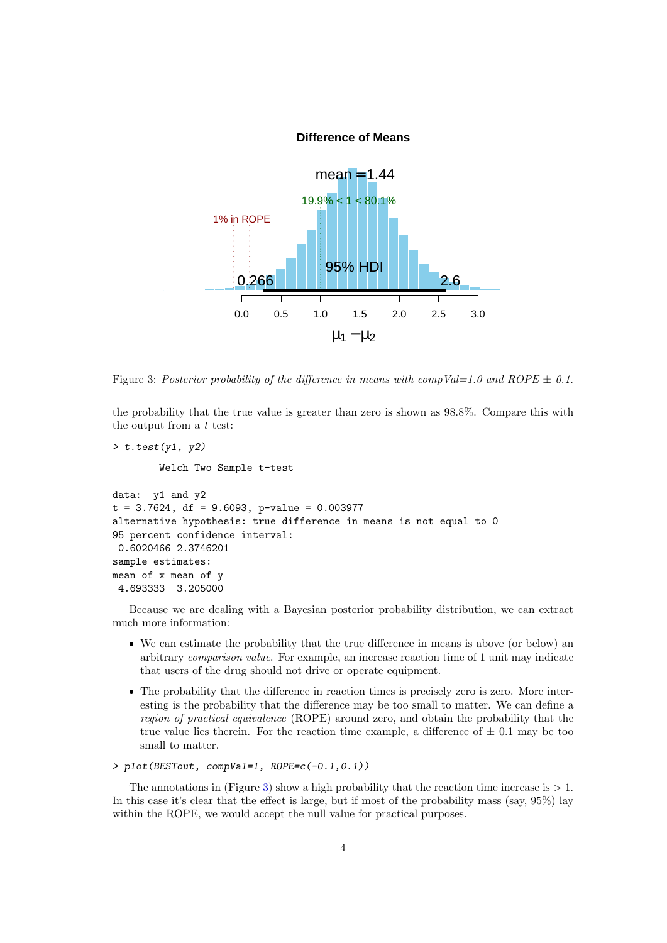#### <span id="page-3-0"></span>**Difference of Means**



Figure 3: Posterior probability of the difference in means with compVal=1.0 and ROPE  $\pm$  0.1.

the probability that the true value is greater than zero is shown as 98.8%. Compare this with the output from a t test:

```
> t. \text{test}(y1, y2)Welch Two Sample t-test
data: y1 and y2
t = 3.7624, df = 9.6093, p-value = 0.003977
alternative hypothesis: true difference in means is not equal to 0
95 percent confidence interval:
 0.6020466 2.3746201
sample estimates:
mean of x mean of y
 4.693333 3.205000
```
Because we are dealing with a Bayesian posterior probability distribution, we can extract much more information:

- We can estimate the probability that the true difference in means is above (or below) an arbitrary comparison value. For example, an increase reaction time of 1 unit may indicate that users of the drug should not drive or operate equipment.
- The probability that the difference in reaction times is precisely zero is zero. More interesting is the probability that the difference may be too small to matter. We can define a region of practical equivalence (ROPE) around zero, and obtain the probability that the true value lies therein. For the reaction time example, a difference of  $\pm$  0.1 may be too small to matter.

```
> plot(BESTout, compVal=1, ROPE=c(-0.1,0.1))
```
The annotations in (Figure [3\)](#page-3-0) show a high probability that the reaction time increase is  $> 1$ . In this case it's clear that the effect is large, but if most of the probability mass (say, 95%) lay within the ROPE, we would accept the null value for practical purposes.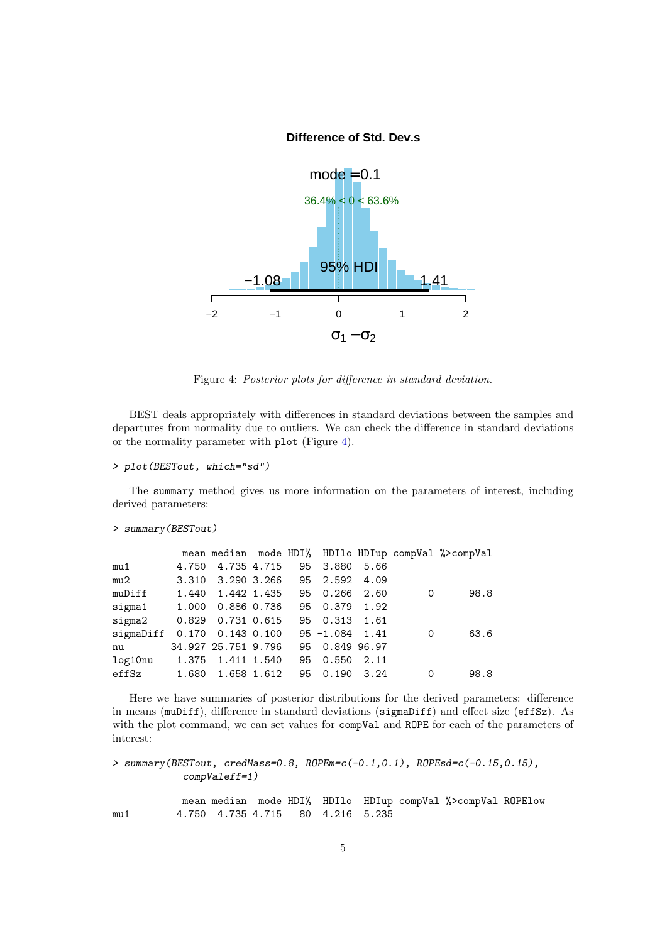#### <span id="page-4-0"></span>**Difference of Std. Dev.s**



Figure 4: Posterior plots for difference in standard deviation.

BEST deals appropriately with differences in standard deviations between the samples and departures from normality due to outliers. We can check the difference in standard deviations or the normality parameter with plot (Figure [4\)](#page-4-0).

```
> plot(BESTout, which="sd")
```
The summary method gives us more information on the parameters of interest, including derived parameters:

```
> summary(BESTout)
```

|                |       |                         |    |                   |      |   | mean median mode HDI% HDI1o HDIup compVal %>compVal |
|----------------|-------|-------------------------|----|-------------------|------|---|-----------------------------------------------------|
| mu1            | 4.750 | 4.735 4.715             | 95 | 3.880             | 5.66 |   |                                                     |
| mu2            | 3.310 | 3.290 3.266             |    | 95 2.592 4.09     |      |   |                                                     |
| muDiff         |       | 1.440 1.442 1.435       | 95 | 0.266             | 2.60 | 0 | 98.8                                                |
| $sigma1$ 1.000 |       | 0.886 0.736             | 95 | 0.379             | 1.92 |   |                                                     |
| sigma2         |       | $0.829$ 0.731 0.615     |    | 95 0.313 1.61     |      |   |                                                     |
| sigmaDiff      |       | $0.170$ $0.143$ $0.100$ |    | $95 - 1.084$ 1.41 |      | 0 | 63.6                                                |
| nu             |       | 34.927 25.751 9.796     | 95 | 0.849 96.97       |      |   |                                                     |
| log10nu        |       | 1.375 1.411 1.540       | 95 | 0.550             | 2.11 |   |                                                     |
| effSz          | 1.680 | 1.658 1.612             | 95 | 0.190             | 3.24 | 0 | 98.8                                                |

Here we have summaries of posterior distributions for the derived parameters: difference in means (muDiff), difference in standard deviations (sigmaDiff) and effect size (effSz). As with the plot command, we can set values for compVal and ROPE for each of the parameters of interest:

```
> summary(BESTout, credMass=0.8, ROPEm=c(-0.1,0.1), ROPEsd=c(-0.15,0.15),
            compValeff=1)
```
mean median mode HDI% HDIlo HDIup compVal %>compVal ROPElow mu1 4.750 4.735 4.715 80 4.216 5.235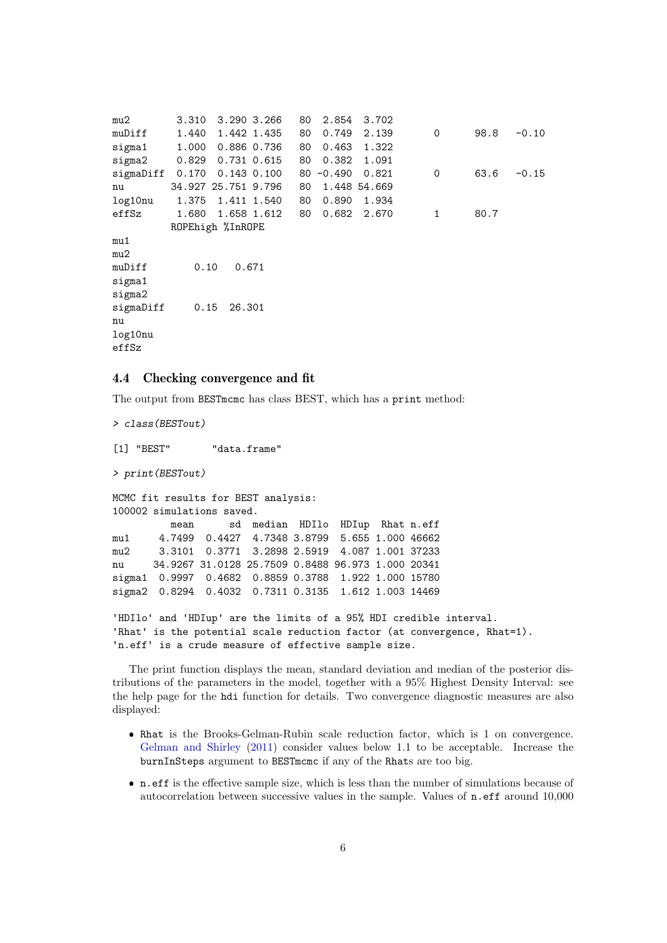```
mu2 3.310 3.290 3.266 80 2.854 3.702
muDiff 1.440 1.442 1.435 80 0.749 2.139 0 98.8 -0.10
sigma1 1.000 0.886 0.736 80 0.463 1.322
sigma2 0.829 0.731 0.615 80 0.382 1.091
sigmaDiff 0.170 0.143 0.100 80 -0.490 0.821 0 63.6 -0.15
nu 34.927 25.751 9.796 80 1.448 54.669
log10nu 1.375 1.411 1.540 80 0.890 1.934
effSz  1.680  1.658  1.612  80  0.682  2.670  1  80.7
        ROPEhigh %InROPE
mu1
min2muDiff 0.10 0.671
sigma1
sigma2
sigmaDiff 0.15 26.301
nu
log10nu
effSz
```
### 4.4 Checking convergence and fit

The output from BESTmcmc has class BEST, which has a print method:

> class(BESTout) [1] "BEST" "data.frame" > print(BESTout) MCMC fit results for BEST analysis: 100002 simulations saved. mean sd median HDIlo HDIup Rhat n.eff mu1 4.7499 0.4427 4.7348 3.8799 5.655 1.000 46662 mu2 3.3101 0.3771 3.2898 2.5919 4.087 1.001 37233 nu 34.9267 31.0128 25.7509 0.8488 96.973 1.000 20341 sigma1 0.9997 0.4682 0.8859 0.3788 1.922 1.000 15780 sigma2 0.8294 0.4032 0.7311 0.3135 1.612 1.003 14469 'HDIlo' and 'HDIup' are the limits of a 95% HDI credible interval. 'Rhat' is the potential scale reduction factor (at convergence, Rhat=1). 'n.eff' is a crude measure of effective sample size.

The print function displays the mean, standard deviation and median of the posterior distributions of the parameters in the model, together with a 95% Highest Density Interval: see the help page for the hdi function for details. Two convergence diagnostic measures are also displayed:

- Rhat is the Brooks-Gelman-Rubin scale reduction factor, which is 1 on convergence. [Gelman and Shirley](#page-12-3) [\(2011\)](#page-12-3) consider values below 1.1 to be acceptable. Increase the burnInSteps argument to BESTmcmc if any of the Rhats are too big.
- n.eff is the effective sample size, which is less than the number of simulations because of autocorrelation between successive values in the sample. Values of n.eff around 10,000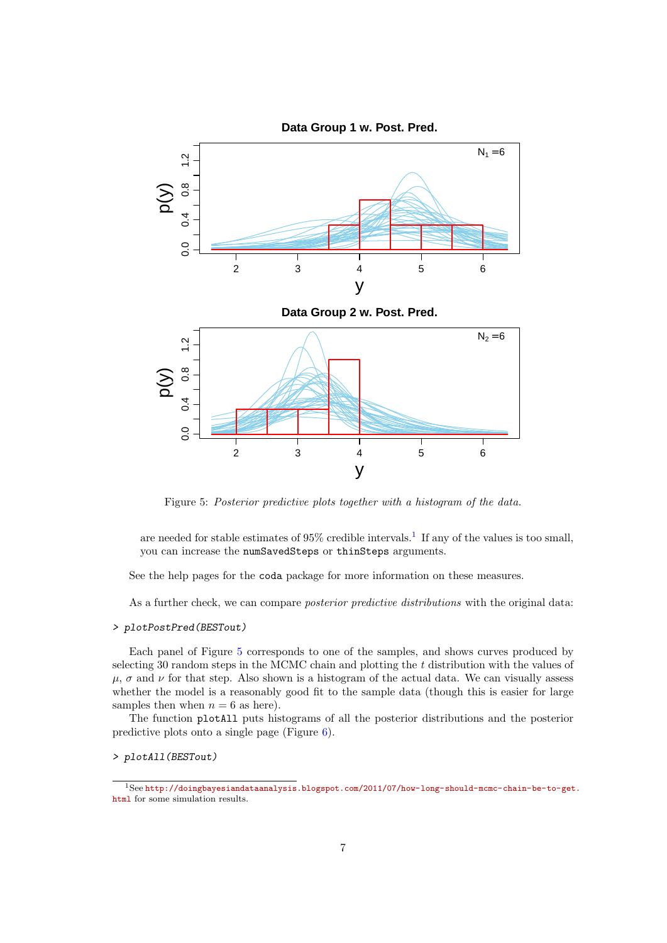

<span id="page-6-1"></span>Figure 5: Posterior predictive plots together with a histogram of the data.

are needed for stable estimates of  $95\%$  credible intervals.<sup>[1](#page-6-0)</sup> If any of the values is too small, you can increase the numSavedSteps or thinSteps arguments.

See the help pages for the coda package for more information on these measures.

As a further check, we can compare *posterior predictive distributions* with the original data:

#### > plotPostPred(BESTout)

Each panel of Figure [5](#page-6-1) corresponds to one of the samples, and shows curves produced by selecting 30 random steps in the MCMC chain and plotting the t distribution with the values of  $\mu$ ,  $\sigma$  and  $\nu$  for that step. Also shown is a histogram of the actual data. We can visually assess whether the model is a reasonably good fit to the sample data (though this is easier for large samples then when  $n = 6$  as here).

The function plotAll puts histograms of all the posterior distributions and the posterior predictive plots onto a single page (Figure [6\)](#page-7-0).

> plotAll(BESTout)

<span id="page-6-0"></span><sup>1</sup>See [http://doingbayesiandataanalysis.blogspot.com/2011/07/how-long-should-mcmc-chain-be-to-get](http://doingbayesiandataanalysis.blogspot.com/2011/07/how-long-should-mcmc-chain-be-to-get.html). [html](http://doingbayesiandataanalysis.blogspot.com/2011/07/how-long-should-mcmc-chain-be-to-get.html) for some simulation results.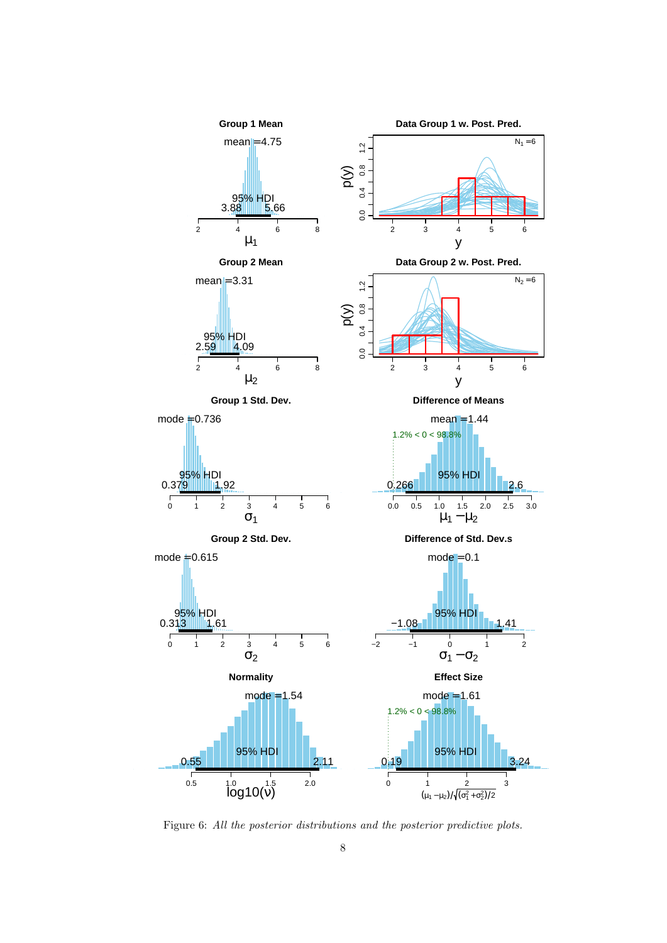

<span id="page-7-0"></span>Figure 6: All the posterior distributions and the posterior predictive plots.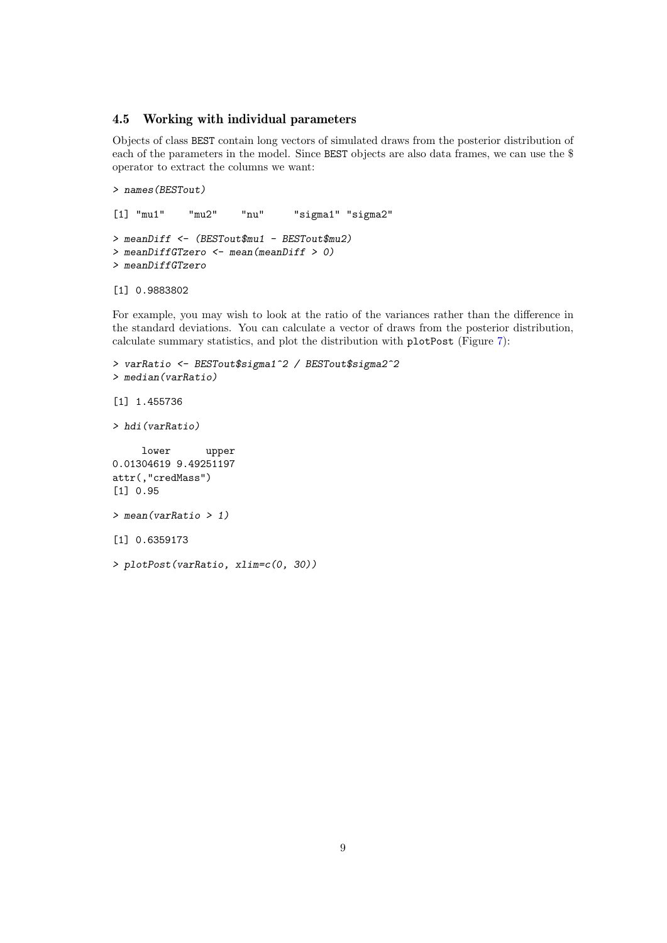### 4.5 Working with individual parameters

Objects of class BEST contain long vectors of simulated draws from the posterior distribution of each of the parameters in the model. Since BEST objects are also data frames, we can use the \$ operator to extract the columns we want:

```
> names(BESTout)
```

```
[1] "mu1" "mu2" "nu" "sigma1" "sigma2"
> meanDiff <- (BESTout$mu1 - BESTout$mu2)
> meanDiffGTzero <- mean(meanDiff > 0)
> meanDiffGTzero
```

```
[1] 0.9883802
```
For example, you may wish to look at the ratio of the variances rather than the difference in the standard deviations. You can calculate a vector of draws from the posterior distribution, calculate summary statistics, and plot the distribution with plotPost (Figure [7\)](#page-9-0):

```
> varRatio <- BESTout$sigma1^2 / BESTout$sigma2^2
> median(varRatio)
[1] 1.455736
> hdi(varRatio)
     lower upper
0.01304619 9.49251197
attr(,"credMass")
[1] 0.95
> mean(varRatio > 1)
[1] 0.6359173
> plotPost(varRatio, xlim=c(0, 30))
```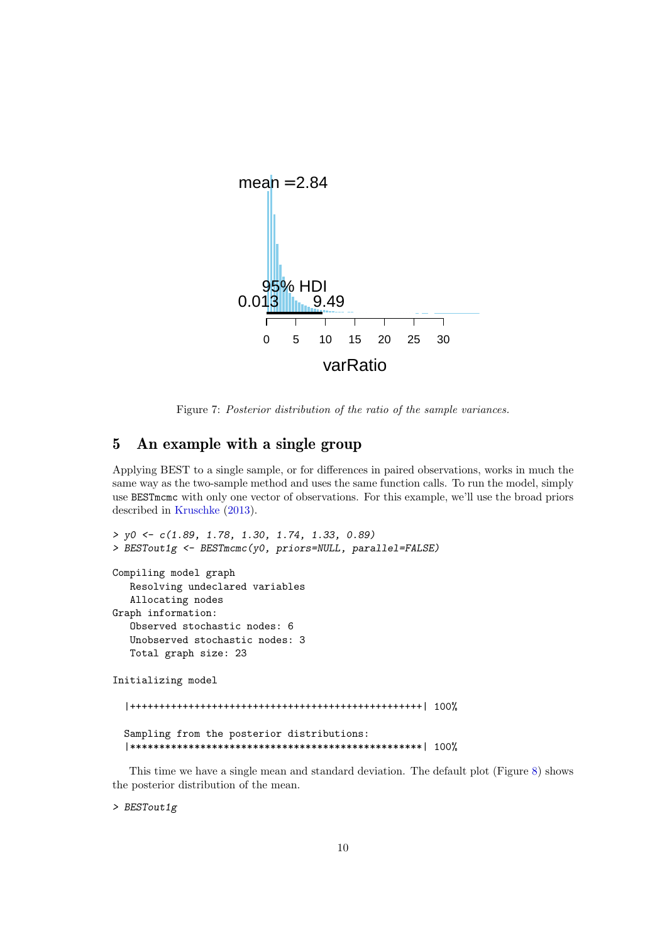

<span id="page-9-0"></span>Figure 7: Posterior distribution of the ratio of the sample variances.

# 5 An example with a single group

Applying BEST to a single sample, or for differences in paired observations, works in much the same way as the two-sample method and uses the same function calls. To run the model, simply use BESTmcmc with only one vector of observations. For this example, we'll use the broad priors described in [Kruschke](#page-12-0) [\(2013\)](#page-12-0).

```
> y0 <- c(1.89, 1.78, 1.30, 1.74, 1.33, 0.89)
> BESTout1g <- BESTmcmc(y0, priors=NULL, parallel=FALSE)
Compiling model graph
   Resolving undeclared variables
   Allocating nodes
Graph information:
   Observed stochastic nodes: 6
   Unobserved stochastic nodes: 3
   Total graph size: 23
Initializing model
  |++++++++++++++++++++++++++++++++++++++++++++++++++| 100%
  Sampling from the posterior distributions:
  |**************************************************| 100%
```
This time we have a single mean and standard deviation. The default plot (Figure [8\)](#page-10-0) shows the posterior distribution of the mean.

> BESTout1g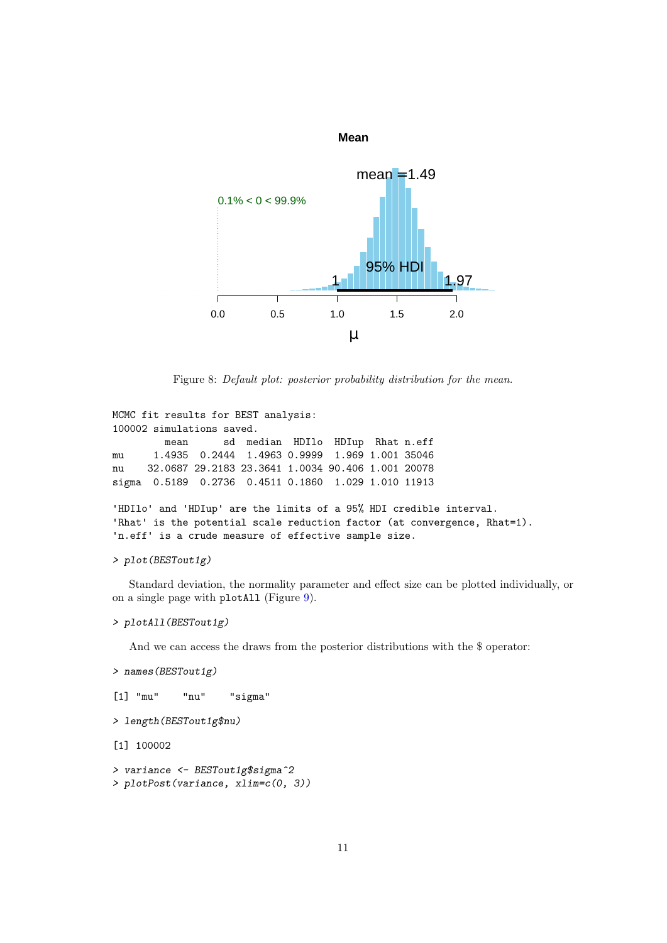

<span id="page-10-0"></span>Figure 8: Default plot: posterior probability distribution for the mean.

```
MCMC fit results for BEST analysis:
100002 simulations saved.
        mean sd median HDIlo HDIup Rhat n.eff
mu 1.4935 0.2444 1.4963 0.9999 1.969 1.001 35046
nu 32.0687 29.2183 23.3641 1.0034 90.406 1.001 20078
sigma 0.5189 0.2736 0.4511 0.1860 1.029 1.010 11913
```

```
'HDIlo' and 'HDIup' are the limits of a 95% HDI credible interval.
'Rhat' is the potential scale reduction factor (at convergence, Rhat=1).
'n.eff' is a crude measure of effective sample size.
```

```
> plot(BESTout1g)
```
Standard deviation, the normality parameter and effect size can be plotted individually, or on a single page with plotAll (Figure [9\)](#page-11-0).

#### > plotAll(BESTout1g)

And we can access the draws from the posterior distributions with the \$ operator:

```
> names(BESTout1g)
```

```
[1] "mu" "nu" "sigma"
```

```
> length(BESTout1g$nu)
```
[1] 100002

```
> variance <- BESTout1g$sigma^2
> plotPost(variance, xlim=c(0, 3))
```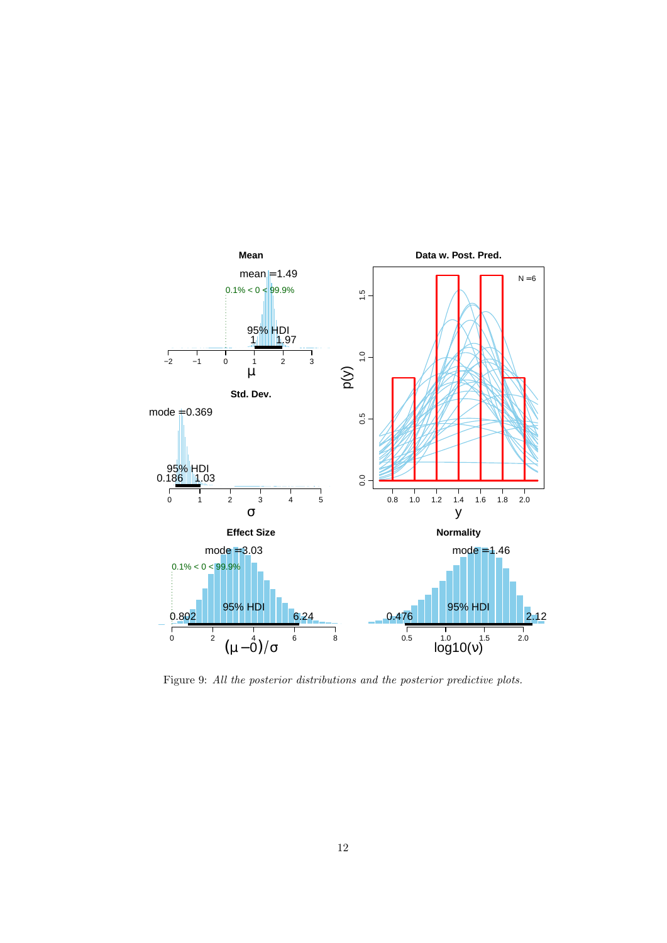

<span id="page-11-0"></span>Figure 9: All the posterior distributions and the posterior predictive plots.